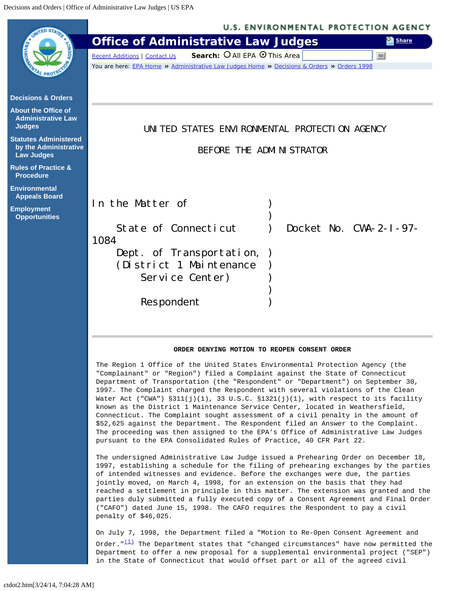<span id="page-0-0"></span>

 known as the District 1 Maintenance Service Center, located in Weathersfield, Connecticut. The Complaint sought assessment of a civil penalty in the amount of \$52,625 against the Department. The Respondent filed an Answer to the Complaint. The proceeding was then assigned to the EPA's Office of Administrative Law Judges pursuant to the EPA Consolidated Rules of Practice, 40 CFR Part 22.

The undersigned Administrative Law Judge issued a Prehearing Order on December 18, 1997, establishing a schedule for the filing of prehearing exchanges by the parties of intended witnesses and evidence. Before the exchanges were due, the parties jointly moved, on March 4, 1998, for an extension on the basis that they had reached a settlement in principle in this matter. The extension was granted and the parties duly submitted a fully executed copy of a Consent Agreement and Final Order ("CAFO") dated June 15, 1998. The CAFO requires the Respondent to pay a civil penalty of \$46,025.

On July 7, 1998, the Department filed a "Motion to Re-0pen Consent Agreement and Order. $\sqrt[n]{11}$  The Department states that "changed circumstances" have now permitted the Department to offer a new proposal for a supplemental environmental project ("SEP") in the State of Connecticut that would offset part or all of the agreed civil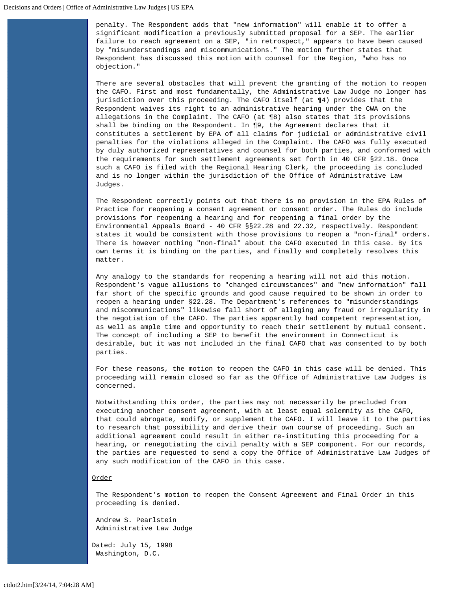penalty. The Respondent adds that "new information" will enable it to offer a significant modification a previously submitted proposal for a SEP. The earlier failure to reach agreement on a SEP, "in retrospect," appears to have been caused by "misunderstandings and miscommunications." The motion further states that Respondent has discussed this motion with counsel for the Region, "who has no objection."

There are several obstacles that will prevent the granting of the motion to reopen the CAFO. First and most fundamentally, the Administrative Law Judge no longer has jurisdiction over this proceeding. The CAFO itself (at ¶4) provides that the Respondent waives its right to an administrative hearing under the CWA on the allegations in the Complaint. The CAFO (at ¶8) also states that its provisions shall be binding on the Respondent. In ¶9, the Agreement declares that it constitutes a settlement by EPA of all claims for judicial or administrative civil penalties for the violations alleged in the Complaint. The CAFO was fully executed by duly authorized representatives and counsel for both parties, and conformed with the requirements for such settlement agreements set forth in 40 CFR §22.18. Once such a CAFO is filed with the Regional Hearing Clerk, the proceeding is concluded and is no longer within the jurisdiction of the Office of Administrative Law Judges.

The Respondent correctly points out that there is no provision in the EPA Rules of Practice for reopening a consent agreement or consent order. The Rules do include provisions for reopening a hearing and for reopening a final order by the Environmental Appeals Board - 40 CFR §§22.28 and 22.32, respectively. Respondent states it would be consistent with those provisions to reopen a "non-final" orders. There is however nothing "non-final" about the CAFO executed in this case. By its own terms it is binding on the parties, and finally and completely resolves this matter.

Any analogy to the standards for reopening a hearing will not aid this motion. Respondent's vague allusions to "changed circumstances" and "new information" fall far short of the specific grounds and good cause required to be shown in order to reopen a hearing under §22.28. The Department's references to "misunderstandings and miscommunications" likewise fall short of alleging any fraud or irregularity in the negotiation of the CAFO. The parties apparently had competent representation, as well as ample time and opportunity to reach their settlement by mutual consent. The concept of including a SEP to benefit the environment in Connecticut is desirable, but it was not included in the final CAFO that was consented to by both parties.

For these reasons, the motion to reopen the CAFO in this case will be denied. This proceeding will remain closed so far as the Office of Administrative Law Judges is concerned.

Notwithstanding this order, the parties may not necessarily be precluded from executing another consent agreement, with at least equal solemnity as the CAFO, that could abrogate, modify, or supplement the CAFO. I will leave it to the parties to research that possibility and derive their own course of proceeding. Such an additional agreement could result in either re-instituting this proceeding for a hearing, or renegotiating the civil penalty with a SEP component. For our records, the parties are requested to send a copy the Office of Administrative Law Judges of any such modification of the CAFO in this case.

## Order

The Respondent's motion to reopen the Consent Agreement and Final Order in this proceeding is denied.

Andrew S. Pearlstein Administrative Law Judge

Dated: July 15, 1998 Washington, D.C.